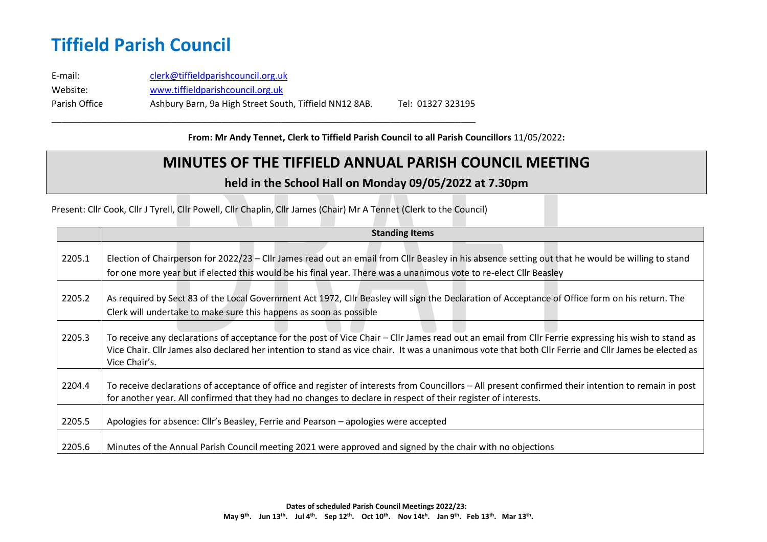## **Tiffield Parish Council**

E-mail: [clerk@tiffieldparishcouncil.org.uk](mailto:clerk@tiffieldparishcouncil.org.uk) Website: [www.tiffieldparishcouncil.org.uk](http://www.tiffieldparishcouncil.org.uk/) Parish Office Ashbury Barn, 9a High Street South, Tiffield NN12 8AB. Tel: 01327 323195

\_\_\_\_\_\_\_\_\_\_\_\_\_\_\_\_\_\_\_\_\_\_\_\_\_\_\_\_\_\_\_\_\_\_\_\_\_\_\_\_\_\_\_\_\_\_\_\_\_\_\_\_\_\_\_\_\_\_\_\_\_\_\_\_\_\_\_\_\_\_\_\_\_\_\_\_\_\_\_\_\_\_\_\_\_

**From: Mr Andy Tennet, Clerk to Tiffield Parish Council to all Parish Councillors** 11/05/2022**:**

### **MINUTES OF THE TIFFIELD ANNUAL PARISH COUNCIL MEETING**

#### **held in the School Hall on Monday 09/05/2022 at 7.30pm**

Present: Cllr Cook, Cllr J Tyrell, Cllr Powell, Cllr Chaplin, Cllr James (Chair) Mr A Tennet (Clerk to the Council)

|        | <b>Standing Items</b>                                                                                                                                                                                                                                                                                                          |
|--------|--------------------------------------------------------------------------------------------------------------------------------------------------------------------------------------------------------------------------------------------------------------------------------------------------------------------------------|
| 2205.1 | Election of Chairperson for 2022/23 - Cllr James read out an email from Cllr Beasley in his absence setting out that he would be willing to stand<br>for one more year but if elected this would be his final year. There was a unanimous vote to re-elect Cllr Beasley                                                        |
| 2205.2 | As required by Sect 83 of the Local Government Act 1972, Cllr Beasley will sign the Declaration of Acceptance of Office form on his return. The<br>Clerk will undertake to make sure this happens as soon as possible                                                                                                          |
| 2205.3 | To receive any declarations of acceptance for the post of Vice Chair – Cllr James read out an email from Cllr Ferrie expressing his wish to stand as<br>Vice Chair. Cllr James also declared her intention to stand as vice chair. It was a unanimous vote that both Cllr Ferrie and Cllr James be elected as<br>Vice Chair's. |
| 2204.4 | To receive declarations of acceptance of office and register of interests from Councillors – All present confirmed their intention to remain in post<br>for another year. All confirmed that they had no changes to declare in respect of their register of interests.                                                         |
| 2205.5 | Apologies for absence: Cllr's Beasley, Ferrie and Pearson – apologies were accepted                                                                                                                                                                                                                                            |
| 2205.6 | Minutes of the Annual Parish Council meeting 2021 were approved and signed by the chair with no objections                                                                                                                                                                                                                     |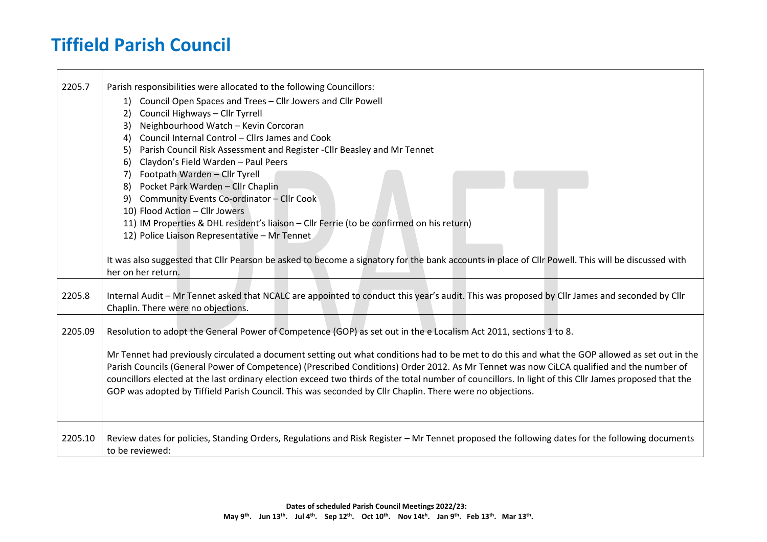# **Tiffield Parish Council**

 $\blacksquare$ 

| 2205.7  | Parish responsibilities were allocated to the following Councillors:                                                                                  |
|---------|-------------------------------------------------------------------------------------------------------------------------------------------------------|
|         | 1) Council Open Spaces and Trees - Cllr Jowers and Cllr Powell                                                                                        |
|         | Council Highways - Cllr Tyrrell<br>2)                                                                                                                 |
|         | Neighbourhood Watch - Kevin Corcoran<br>3)                                                                                                            |
|         | Council Internal Control - Cllrs James and Cook<br>4)                                                                                                 |
|         | Parish Council Risk Assessment and Register - Cllr Beasley and Mr Tennet<br>5)                                                                        |
|         | Claydon's Field Warden - Paul Peers<br>6)                                                                                                             |
|         | Footpath Warden - Cllr Tyrell<br>7)                                                                                                                   |
|         | Pocket Park Warden - Cllr Chaplin<br>8)                                                                                                               |
|         | Community Events Co-ordinator - Cllr Cook<br>9)                                                                                                       |
|         | 10) Flood Action - Cllr Jowers                                                                                                                        |
|         | 11) IM Properties & DHL resident's liaison - Cllr Ferrie (to be confirmed on his return)                                                              |
|         | 12) Police Liaison Representative - Mr Tennet                                                                                                         |
|         |                                                                                                                                                       |
|         | It was also suggested that Cllr Pearson be asked to become a signatory for the bank accounts in place of Cllr Powell. This will be discussed with     |
|         | her on her return.                                                                                                                                    |
|         |                                                                                                                                                       |
| 2205.8  | Internal Audit - Mr Tennet asked that NCALC are appointed to conduct this year's audit. This was proposed by Cllr James and seconded by Cllr          |
|         | Chaplin. There were no objections.                                                                                                                    |
| 2205.09 | Resolution to adopt the General Power of Competence (GOP) as set out in the e Localism Act 2011, sections 1 to 8.                                     |
|         |                                                                                                                                                       |
|         | Mr Tennet had previously circulated a document setting out what conditions had to be met to do this and what the GOP allowed as set out in the        |
|         | Parish Councils (General Power of Competence) (Prescribed Conditions) Order 2012. As Mr Tennet was now CiLCA qualified and the number of              |
|         | councillors elected at the last ordinary election exceed two thirds of the total number of councillors. In light of this ClIr James proposed that the |
|         | GOP was adopted by Tiffield Parish Council. This was seconded by Cllr Chaplin. There were no objections.                                              |
|         |                                                                                                                                                       |
|         |                                                                                                                                                       |
|         |                                                                                                                                                       |
| 2205.10 | Review dates for policies, Standing Orders, Regulations and Risk Register – Mr Tennet proposed the following dates for the following documents        |
|         | to be reviewed:                                                                                                                                       |